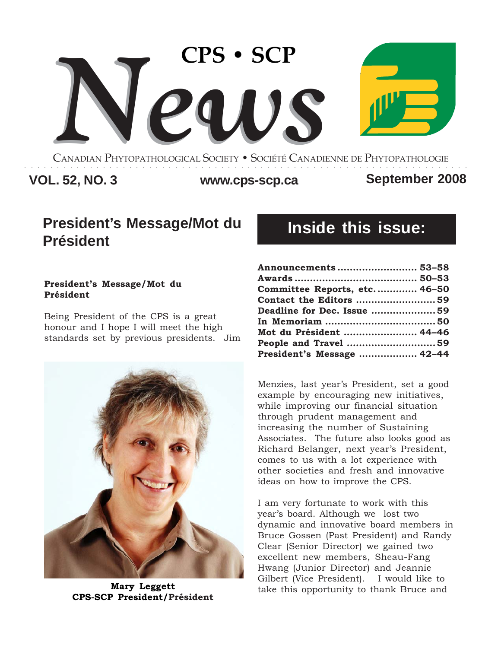

CANADIAN PHYTOPATHOLOGICAL SOCIETY **•** SOCIÉTÉ CANADIENNE DE PHYTOPATHOLOGIE ○○○○○○○○○○○○○○○○○○○○○○○○○○○○○○○○○○○○○○○○○○○○○○○○○○○○○○○○○○○○○○○○○○○○

# **VOL. 52, NO. 3 www.cps-scp.ca September 2008**

# **President's Message/Mot du Président**

### **President's Message/Mot du Président**

Being President of the CPS is a great honour and I hope I will meet the high standards set by previous presidents. Jim



# **Inside this issue:**

| Announcements  53-58         |  |
|------------------------------|--|
|                              |  |
| Committee Reports, etc 46-50 |  |
| Contact the Editors 59       |  |
| Deadline for Dec. Issue 59   |  |
|                              |  |
| Mot du Président  44-46      |  |
|                              |  |
| President's Message  42-44   |  |

Menzies, last year's President, set a good example by encouraging new initiatives, while improving our financial situation through prudent management and increasing the number of Sustaining Associates. The future also looks good as Richard Belanger, next year's President, comes to us with a lot experience with other societies and fresh and innovative ideas on how to improve the CPS.

I am very fortunate to work with this year's board. Although we lost two dynamic and innovative board members in Bruce Gossen (Past President) and Randy Clear (Senior Director) we gained two excellent new members, Sheau-Fang Hwang (Junior Director) and Jeannie **Mary Leggett** Gilbert (Vice President). I would like to take this opportunity to thank Bruce and **CPS-SCP President/Président**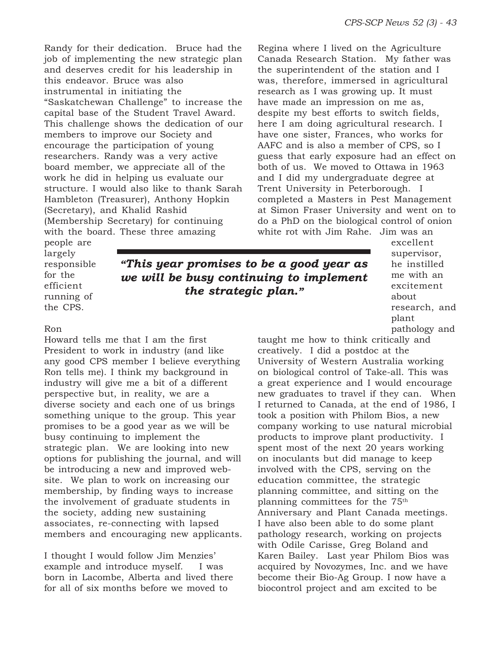Randy for their dedication. Bruce had the job of implementing the new strategic plan and deserves credit for his leadership in this endeavor. Bruce was also instrumental in initiating the "Saskatchewan Challenge" to increase the capital base of the Student Travel Award. This challenge shows the dedication of our members to improve our Society and encourage the participation of young researchers. Randy was a very active board member, we appreciate all of the work he did in helping us evaluate our structure. I would also like to thank Sarah Hambleton (Treasurer), Anthony Hopkin (Secretary), and Khalid Rashid (Membership Secretary) for continuing with the board. These three amazing

Regina where I lived on the Agriculture Canada Research Station. My father was the superintendent of the station and I was, therefore, immersed in agricultural research as I was growing up. It must have made an impression on me as, despite my best efforts to switch fields, here I am doing agricultural research. I have one sister, Frances, who works for AAFC and is also a member of CPS, so I guess that early exposure had an effect on both of us. We moved to Ottawa in 1963 and I did my undergraduate degree at Trent University in Peterborough. I completed a Masters in Pest Management at Simon Fraser University and went on to do a PhD on the biological control of onion white rot with Jim Rahe. Jim was an

people are largely responsible for the efficient running of the CPS.

*"This year promises to be a good year as we will be busy continuing to implement the strategic plan."*

excellent supervisor, he instilled me with an excitement about research, and plant pathology and

### Ron

Howard tells me that I am the first President to work in industry (and like any good CPS member I believe everything Ron tells me). I think my background in industry will give me a bit of a different perspective but, in reality, we are a diverse society and each one of us brings something unique to the group. This year promises to be a good year as we will be busy continuing to implement the strategic plan. We are looking into new options for publishing the journal, and will be introducing a new and improved website. We plan to work on increasing our membership, by finding ways to increase the involvement of graduate students in the society, adding new sustaining associates, re-connecting with lapsed members and encouraging new applicants.

I thought I would follow Jim Menzies' example and introduce myself. I was born in Lacombe, Alberta and lived there for all of six months before we moved to

taught me how to think critically and creatively. I did a postdoc at the University of Western Australia working on biological control of Take-all. This was a great experience and I would encourage new graduates to travel if they can. When I returned to Canada, at the end of 1986, I took a position with Philom Bios, a new company working to use natural microbial products to improve plant productivity. I spent most of the next 20 years working on inoculants but did manage to keep involved with the CPS, serving on the education committee, the strategic planning committee, and sitting on the planning committees for the 75th Anniversary and Plant Canada meetings. I have also been able to do some plant pathology research, working on projects with Odile Carisse, Greg Boland and Karen Bailey. Last year Philom Bios was acquired by Novozymes, Inc. and we have become their Bio-Ag Group. I now have a biocontrol project and am excited to be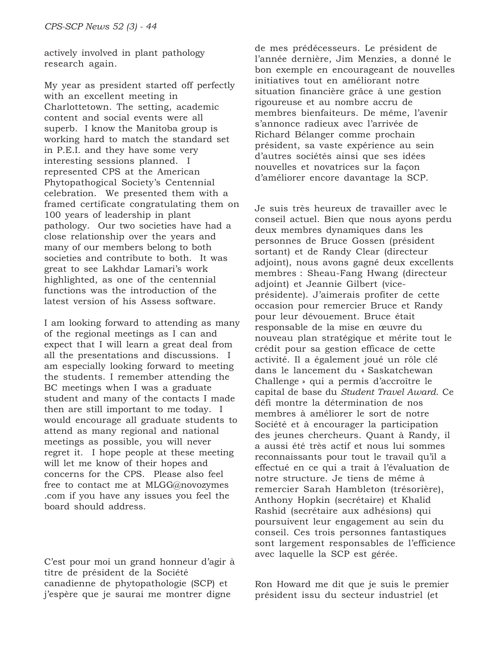actively involved in plant pathology research again.

My year as president started off perfectly with an excellent meeting in Charlottetown. The setting, academic content and social events were all superb. I know the Manitoba group is working hard to match the standard set in P.E.I. and they have some very interesting sessions planned. I represented CPS at the American Phytopathogical Society's Centennial celebration. We presented them with a framed certificate congratulating them on 100 years of leadership in plant pathology. Our two societies have had a close relationship over the years and many of our members belong to both societies and contribute to both. It was great to see Lakhdar Lamari's work highlighted, as one of the centennial functions was the introduction of the latest version of his Assess software.

I am looking forward to attending as many of the regional meetings as I can and expect that I will learn a great deal from all the presentations and discussions. I am especially looking forward to meeting the students. I remember attending the BC meetings when I was a graduate student and many of the contacts I made then are still important to me today. I would encourage all graduate students to attend as many regional and national meetings as possible, you will never regret it. I hope people at these meeting will let me know of their hopes and concerns for the CPS. Please also feel free to contact me at MLGG@novozymes .com if you have any issues you feel the board should address.

C'est pour moi un grand honneur d'agir à titre de président de la Société canadienne de phytopathologie (SCP) et j'espère que je saurai me montrer digne

de mes prédécesseurs. Le président de l'année dernière, Jim Menzies, a donné le bon exemple en encourageant de nouvelles initiatives tout en améliorant notre situation financière grâce à une gestion rigoureuse et au nombre accru de membres bienfaiteurs. De même, l'avenir s'annonce radieux avec l'arrivée de Richard Bélanger comme prochain président, sa vaste expérience au sein d'autres sociétés ainsi que ses idées nouvelles et novatrices sur la façon d'améliorer encore davantage la SCP.

Je suis très heureux de travailler avec le conseil actuel. Bien que nous ayons perdu deux membres dynamiques dans les personnes de Bruce Gossen (président sortant) et de Randy Clear (directeur adjoint), nous avons gagné deux excellents membres : Sheau-Fang Hwang (directeur adjoint) et Jeannie Gilbert (viceprésidente). J'aimerais profiter de cette occasion pour remercier Bruce et Randy pour leur dévouement. Bruce était responsable de la mise en œuvre du nouveau plan stratégique et mérite tout le crédit pour sa gestion efficace de cette activité. Il a également joué un rôle clé dans le lancement du « Saskatchewan Challenge » qui a permis d'accroître le capital de base du *Student Travel Award*. Ce défi montre la détermination de nos membres à améliorer le sort de notre Société et à encourager la participation des jeunes chercheurs. Quant à Randy, il a aussi été très actif et nous lui sommes reconnaissants pour tout le travail qu'il a effectué en ce qui a trait à l'évaluation de notre structure. Je tiens de même à remercier Sarah Hambleton (trésorière), Anthony Hopkin (secrétaire) et Khalid Rashid (secrétaire aux adhésions) qui poursuivent leur engagement au sein du conseil. Ces trois personnes fantastiques sont largement responsables de l'efficience avec laquelle la SCP est gérée.

Ron Howard me dit que je suis le premier président issu du secteur industriel (et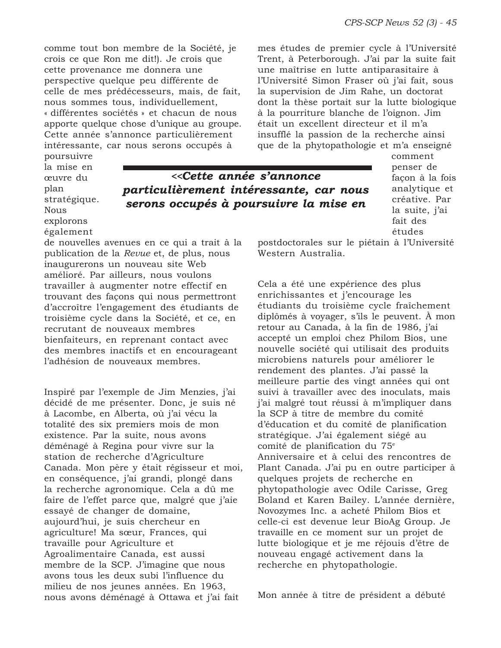comme tout bon membre de la Société, je crois ce que Ron me dit!). Je crois que cette provenance me donnera une perspective quelque peu différente de celle de mes prédécesseurs, mais, de fait, nous sommes tous, individuellement, « différentes sociétés » et chacun de nous apporte quelque chose d'unique au groupe. Cette année s'annonce particulièrement intéressante, car nous serons occupés à

mes études de premier cycle à l'Université Trent, à Peterborough. J'ai par la suite fait une maîtrise en lutte antiparasitaire à l'Université Simon Fraser où j'ai fait, sous la supervision de Jim Rahe, un doctorat dont la thèse portait sur la lutte biologique à la pourriture blanche de l'oignon. Jim était un excellent directeur et il m'a insufflé la passion de la recherche ainsi que de la phytopathologie et m'a enseigné

poursuivre la mise en œuvre du plan stratégique. Nous explorons également

*<<Cette année s'annonce particulièrement intéressante, car nous serons occupés à poursuivre la mise en*

comment penser de façon à la fois analytique et créative. Par la suite, j'ai fait des études

postdoctorales sur le piétain à l'Université Western Australia.

Cela a été une expérience des plus enrichissantes et j'encourage les étudiants du troisième cycle fraîchement diplômés à voyager, s'ils le peuvent. À mon retour au Canada, à la fin de 1986, j'ai accepté un emploi chez Philom Bios, une nouvelle société qui utilisait des produits microbiens naturels pour améliorer le rendement des plantes. J'ai passé la meilleure partie des vingt années qui ont suivi à travailler avec des inoculats, mais j'ai malgré tout réussi à m'impliquer dans la SCP à titre de membre du comité d'éducation et du comité de planification stratégique. J'ai également siégé au comité de planification du 75e Anniversaire et à celui des rencontres de Plant Canada. J'ai pu en outre participer à quelques projets de recherche en phytopathologie avec Odile Carisse, Greg Boland et Karen Bailey. L'année dernière, Novozymes Inc. a acheté Philom Bios et celle-ci est devenue leur BioAg Group. Je travaille en ce moment sur un projet de lutte biologique et je me réjouis d'être de nouveau engagé activement dans la recherche en phytopathologie.

Mon année à titre de président a débuté

de nouvelles avenues en ce qui a trait à la publication de la *Revue* et, de plus, nous inaugurerons un nouveau site Web amélioré. Par ailleurs, nous voulons travailler à augmenter notre effectif en trouvant des façons qui nous permettront d'accroître l'engagement des étudiants de troisième cycle dans la Société, et ce, en recrutant de nouveaux membres bienfaiteurs, en reprenant contact avec des membres inactifs et en encourageant l'adhésion de nouveaux membres.

Inspiré par l'exemple de Jim Menzies, j'ai décidé de me présenter. Donc, je suis né à Lacombe, en Alberta, où j'ai vécu la totalité des six premiers mois de mon existence. Par la suite, nous avons déménagé à Regina pour vivre sur la station de recherche d'Agriculture Canada. Mon père y était régisseur et moi, en conséquence, j'ai grandi, plongé dans la recherche agronomique. Cela a dû me faire de l'effet parce que, malgré que j'aie essayé de changer de domaine, aujourd'hui, je suis chercheur en agriculture! Ma sœur, Frances, qui travaille pour Agriculture et Agroalimentaire Canada, est aussi membre de la SCP. J'imagine que nous avons tous les deux subi l'influence du milieu de nos jeunes années. En 1963, nous avons déménagé à Ottawa et j'ai fait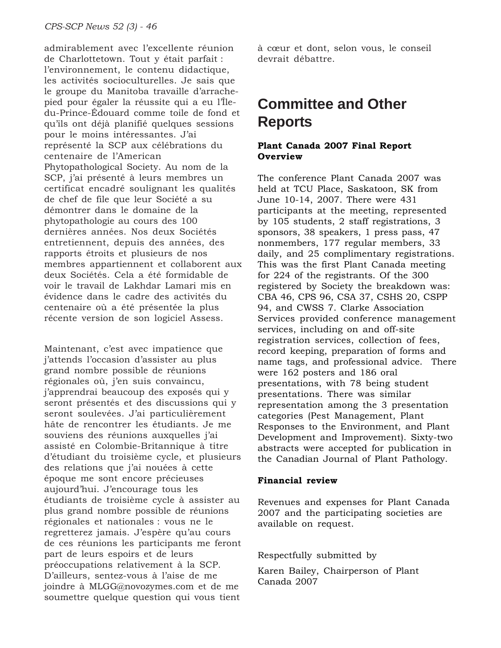admirablement avec l'excellente réunion de Charlottetown. Tout y était parfait : l'environnement, le contenu didactique, les activités socioculturelles. Je sais que le groupe du Manitoba travaille d'arrachepied pour égaler la réussite qui a eu l'Îledu-Prince-Édouard comme toile de fond et qu'ils ont déjà planifié quelques sessions pour le moins intéressantes. J'ai représenté la SCP aux célébrations du centenaire de l'American Phytopathological Society. Au nom de la SCP, j'ai présenté à leurs membres un certificat encadré soulignant les qualités de chef de file que leur Société a su démontrer dans le domaine de la phytopathologie au cours des 100 dernières années. Nos deux Sociétés entretiennent, depuis des années, des rapports étroits et plusieurs de nos membres appartiennent et collaborent aux deux Sociétés. Cela a été formidable de voir le travail de Lakhdar Lamari mis en évidence dans le cadre des activités du centenaire où a été présentée la plus récente version de son logiciel Assess.

Maintenant, c'est avec impatience que j'attends l'occasion d'assister au plus grand nombre possible de réunions régionales où, j'en suis convaincu, j'apprendrai beaucoup des exposés qui y seront présentés et des discussions qui y seront soulevées. J'ai particulièrement hâte de rencontrer les étudiants. Je me souviens des réunions auxquelles j'ai assisté en Colombie-Britannique à titre d'étudiant du troisième cycle, et plusieurs des relations que j'ai nouées à cette époque me sont encore précieuses aujourd'hui. J'encourage tous les étudiants de troisième cycle à assister au plus grand nombre possible de réunions régionales et nationales : vous ne le regretterez jamais. J'espère qu'au cours de ces réunions les participants me feront part de leurs espoirs et de leurs préoccupations relativement à la SCP. D'ailleurs, sentez-vous à l'aise de me joindre à MLGG@novozymes.com et de me soumettre quelque question qui vous tient

à cœur et dont, selon vous, le conseil devrait débattre.

# **Committee and Other Reports**

### **Plant Canada 2007 Final Report Overview**

The conference Plant Canada 2007 was held at TCU Place, Saskatoon, SK from June 10-14, 2007. There were 431 participants at the meeting, represented by 105 students, 2 staff registrations, 3 sponsors, 38 speakers, 1 press pass, 47 nonmembers, 177 regular members, 33 daily, and 25 complimentary registrations. This was the first Plant Canada meeting for 224 of the registrants. Of the 300 registered by Society the breakdown was: CBA 46, CPS 96, CSA 37, CSHS 20, CSPP 94, and CWSS 7. Clarke Association Services provided conference management services, including on and off-site registration services, collection of fees, record keeping, preparation of forms and name tags, and professional advice. There were 162 posters and 186 oral presentations, with 78 being student presentations. There was similar representation among the 3 presentation categories (Pest Management, Plant Responses to the Environment, and Plant Development and Improvement). Sixty-two abstracts were accepted for publication in the Canadian Journal of Plant Pathology.

### **Financial review**

Revenues and expenses for Plant Canada 2007 and the participating societies are available on request.

Respectfully submitted by

Karen Bailey, Chairperson of Plant Canada 2007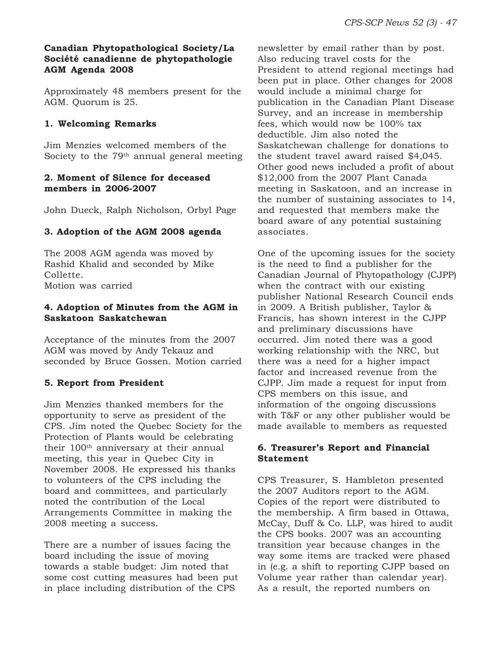# **Canadian Phytopathological Society/La Société canadienne de phytopathologie AGM Agenda 2008**

Approximately 48 members present for the AGM. Quorum is 25.

# **1. Welcoming Remarks**

Jim Menzies welcomed members of the Society to the  $79<sup>th</sup>$  annual general meeting

# **2. Moment of Silence for deceased members in 2006-2007**

John Dueck, Ralph Nicholson, Orbyl Page

# **3. Adoption of the AGM 2008 agenda**

The 2008 AGM agenda was moved by Rashid Khalid and seconded by Mike Collette. Motion was carried

### **4. Adoption of Minutes from the AGM in Saskatoon Saskatchewan**

Acceptance of the minutes from the 2007 AGM was moved by Andy Tekauz and seconded by Bruce Gossen. Motion carried

# **5. Report from President**

Jim Menzies thanked members for the opportunity to serve as president of the CPS. Jim noted the Quebec Society for the Protection of Plants would be celebrating their 100<sup>th</sup> anniversary at their annual meeting, this year in Quebec City in November 2008. He expressed his thanks to volunteers of the CPS including the board and committees, and particularly noted the contribution of the Local Arrangements Committee in making the 2008 meeting a success.

There are a number of issues facing the board including the issue of moving towards a stable budget: Jim noted that some cost cutting measures had been put in place including distribution of the CPS

newsletter by email rather than by post. Also reducing travel costs for the President to attend regional meetings had been put in place. Other changes for 2008 would include a minimal charge for publication in the Canadian Plant Disease Survey, and an increase in membership fees, which would now be 100% tax deductible. Jim also noted the Saskatchewan challenge for donations to the student travel award raised \$4,045. Other good news included a profit of about \$12,000 from the 2007 Plant Canada meeting in Saskatoon, and an increase in the number of sustaining associates to 14, and requested that members make the board aware of any potential sustaining associates.

One of the upcoming issues for the society is the need to find a publisher for the Canadian Journal of Phytopathology (CJPP) when the contract with our existing publisher National Research Council ends in 2009. A British publisher, Taylor & Francis, has shown interest in the CJPP and preliminary discussions have occurred. Jim noted there was a good working relationship with the NRC, but there was a need for a higher impact factor and increased revenue from the CJPP. Jim made a request for input from CPS members on this issue, and information of the ongoing discussions with T&F or any other publisher would be made available to members as requested

# **6. Treasurer's Report and Financial Statement**

CPS Treasurer, S. Hambleton presented the 2007 Auditors report to the AGM. Copies of the report were distributed to the membership. A firm based in Ottawa, McCay, Duff & Co. LLP, was hired to audit the CPS books. 2007 was an accounting transition year because changes in the way some items are tracked were phased in (e.g. a shift to reporting CJPP based on Volume year rather than calendar year). As a result, the reported numbers on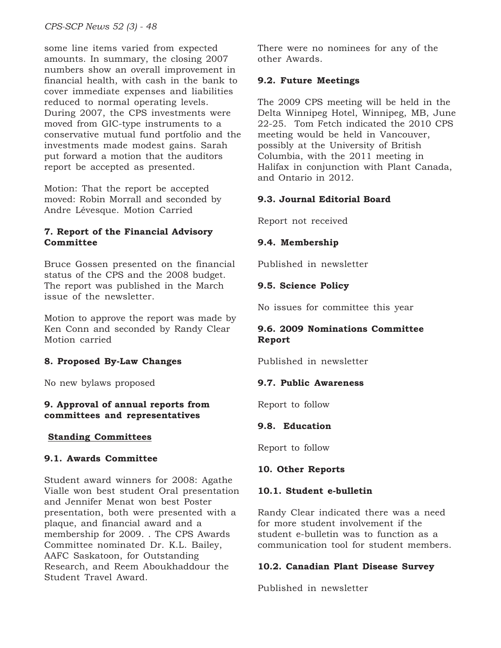some line items varied from expected amounts. In summary, the closing 2007 numbers show an overall improvement in financial health, with cash in the bank to cover immediate expenses and liabilities reduced to normal operating levels. During 2007, the CPS investments were moved from GIC-type instruments to a conservative mutual fund portfolio and the investments made modest gains. Sarah put forward a motion that the auditors report be accepted as presented.

Motion: That the report be accepted moved: Robin Morrall and seconded by Andre Lévesque. Motion Carried

# **7. Report of the Financial Advisory Committee**

Bruce Gossen presented on the financial status of the CPS and the 2008 budget. The report was published in the March issue of the newsletter.

Motion to approve the report was made by Ken Conn and seconded by Randy Clear Motion carried

# **8. Proposed By-Law Changes**

No new bylaws proposed

### **9. Approval of annual reports from committees and representatives**

# **Standing Committees**

# **9.1. Awards Committee**

Student award winners for 2008: Agathe Vialle won best student Oral presentation and Jennifer Menat won best Poster presentation, both were presented with a plaque, and financial award and a membership for 2009. . The CPS Awards Committee nominated Dr. K.L. Bailey, AAFC Saskatoon, for Outstanding Research, and Reem Aboukhaddour the Student Travel Award.

There were no nominees for any of the other Awards.

# **9.2. Future Meetings**

The 2009 CPS meeting will be held in the Delta Winnipeg Hotel, Winnipeg, MB, June 22-25. Tom Fetch indicated the 2010 CPS meeting would be held in Vancouver, possibly at the University of British Columbia, with the 2011 meeting in Halifax in conjunction with Plant Canada, and Ontario in 2012.

# **9.3. Journal Editorial Board**

Report not received

# **9.4. Membership**

Published in newsletter

# **9.5. Science Policy**

No issues for committee this year

# **9.6. 2009 Nominations Committee Report**

Published in newsletter

# **9.7. Public Awareness**

Report to follow

# **9.8. Education**

Report to follow

# **10. Other Reports**

# **10.1. Student e-bulletin**

Randy Clear indicated there was a need for more student involvement if the student e-bulletin was to function as a communication tool for student members.

# **10.2. Canadian Plant Disease Survey**

Published in newsletter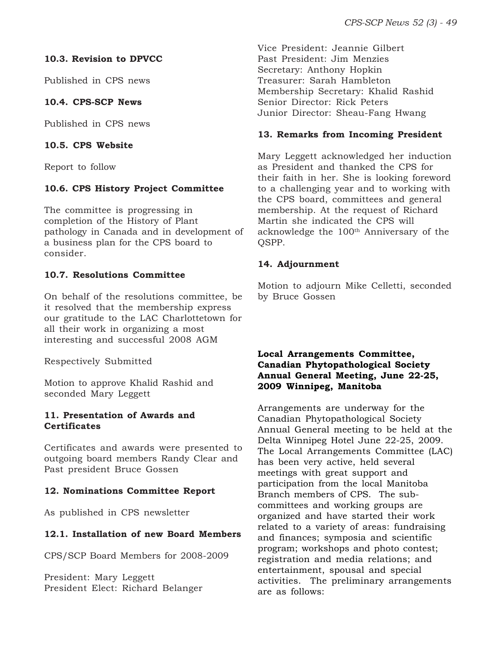# **10.3. Revision to DPVCC**

Published in CPS news

# **10.4. CPS-SCP News**

Published in CPS news

### **10.5. CPS Website**

Report to follow

# **10.6. CPS History Project Committee**

The committee is progressing in completion of the History of Plant pathology in Canada and in development of a business plan for the CPS board to consider.

# **10.7. Resolutions Committee**

On behalf of the resolutions committee, be it resolved that the membership express our gratitude to the LAC Charlottetown for all their work in organizing a most interesting and successful 2008 AGM

Respectively Submitted

Motion to approve Khalid Rashid and seconded Mary Leggett

# **11. Presentation of Awards and Certificates**

Certificates and awards were presented to outgoing board members Randy Clear and Past president Bruce Gossen

# **12. Nominations Committee Report**

As published in CPS newsletter

# **12.1. Installation of new Board Members**

CPS/SCP Board Members for 2008-2009

President: Mary Leggett President Elect: Richard Belanger Vice President: Jeannie Gilbert Past President: Jim Menzies Secretary: Anthony Hopkin Treasurer: Sarah Hambleton Membership Secretary: Khalid Rashid Senior Director: Rick Peters Junior Director: Sheau-Fang Hwang

### **13. Remarks from Incoming President**

Mary Leggett acknowledged her induction as President and thanked the CPS for their faith in her. She is looking foreword to a challenging year and to working with the CPS board, committees and general membership. At the request of Richard Martin she indicated the CPS will acknowledge the 100<sup>th</sup> Anniversary of the QSPP.

### **14. Adjournment**

Motion to adjourn Mike Celletti, seconded by Bruce Gossen

# **Local Arrangements Committee, Canadian Phytopathological Society Annual General Meeting, June 22-25, 2009 Winnipeg, Manitoba**

Arrangements are underway for the Canadian Phytopathological Society Annual General meeting to be held at the Delta Winnipeg Hotel June 22-25, 2009. The Local Arrangements Committee (LAC) has been very active, held several meetings with great support and participation from the local Manitoba Branch members of CPS. The subcommittees and working groups are organized and have started their work related to a variety of areas: fundraising and finances; symposia and scientific program; workshops and photo contest; registration and media relations; and entertainment, spousal and special activities. The preliminary arrangements are as follows: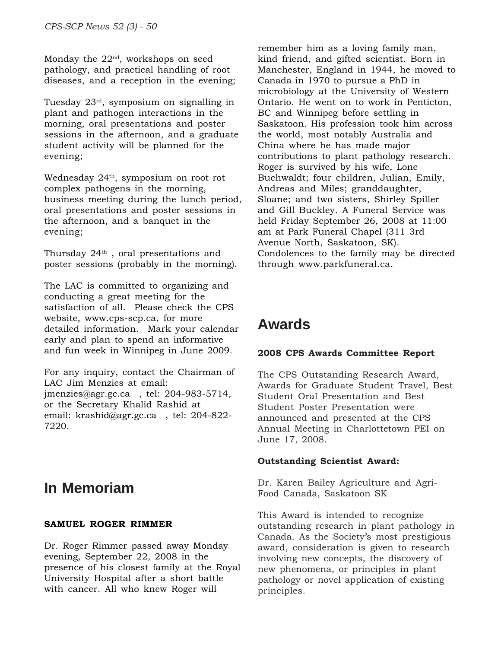Monday the  $22<sup>nd</sup>$ , workshops on seed pathology, and practical handling of root diseases, and a reception in the evening;

Tuesday 23rd, symposium on signalling in plant and pathogen interactions in the morning, oral presentations and poster sessions in the afternoon, and a graduate student activity will be planned for the evening;

Wednesday 24<sup>th</sup>, symposium on root rot complex pathogens in the morning, business meeting during the lunch period, oral presentations and poster sessions in the afternoon, and a banquet in the evening;

Thursday 24<sup>th</sup>, oral presentations and poster sessions (probably in the morning).

The LAC is committed to organizing and conducting a great meeting for the satisfaction of all. Please check the CPS website, www.cps-scp.ca, for more detailed information. Mark your calendar early and plan to spend an informative and fun week in Winnipeg in June 2009.

For any inquiry, contact the Chairman of LAC Jim Menzies at email: jmenzies@agr.gc.ca , tel: 204-983-5714, or the Secretary Khalid Rashid at email: krashid@agr.gc.ca , tel: 204-822- 7220.

# **In Memoriam**

# **SAMUEL ROGER RIMMER**

Dr. Roger Rimmer passed away Monday evening, September 22, 2008 in the presence of his closest family at the Royal University Hospital after a short battle with cancer. All who knew Roger will

remember him as a loving family man, kind friend, and gifted scientist. Born in Manchester, England in 1944, he moved to Canada in 1970 to pursue a PhD in microbiology at the University of Western Ontario. He went on to work in Penticton, BC and Winnipeg before settling in Saskatoon. His profession took him across the world, most notably Australia and China where he has made major contributions to plant pathology research. Roger is survived by his wife, Lone Buchwaldt; four children, Julian, Emily, Andreas and Miles; granddaughter, Sloane; and two sisters, Shirley Spiller and Gill Buckley. A Funeral Service was held Friday September 26, 2008 at 11:00 am at Park Funeral Chapel (311 3rd Avenue North, Saskatoon, SK). Condolences to the family may be directed through www.parkfuneral.ca.

# **Awards**

### **2008 CPS Awards Committee Report**

The CPS Outstanding Research Award, Awards for Graduate Student Travel, Best Student Oral Presentation and Best Student Poster Presentation were announced and presented at the CPS Annual Meeting in Charlottetown PEI on June 17, 2008.

### **Outstanding Scientist Award:**

Dr. Karen Bailey Agriculture and Agri-Food Canada, Saskatoon SK

This Award is intended to recognize outstanding research in plant pathology in Canada. As the Society's most prestigious award, consideration is given to research involving new concepts, the discovery of new phenomena, or principles in plant pathology or novel application of existing principles.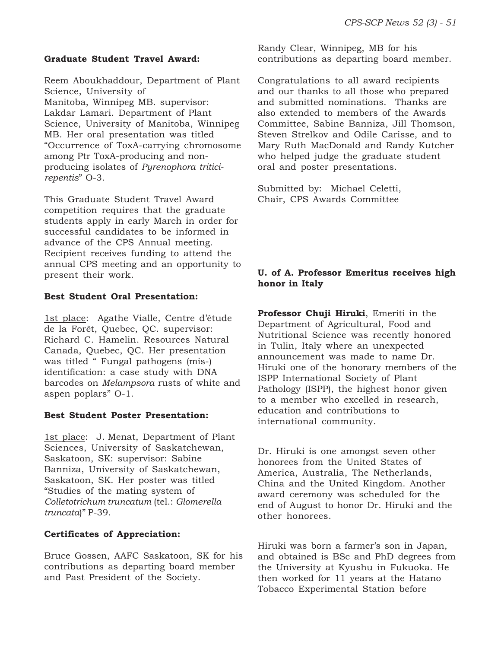#### **Graduate Student Travel Award:**

Reem Aboukhaddour, Department of Plant Science, University of Manitoba, Winnipeg MB. supervisor: Lakdar Lamari. Department of Plant Science, University of Manitoba, Winnipeg MB. Her oral presentation was titled "Occurrence of ToxA-carrying chromosome among Ptr ToxA-producing and nonproducing isolates of *Pyrenophora triticirepentis*" O-3.

This Graduate Student Travel Award competition requires that the graduate students apply in early March in order for successful candidates to be informed in advance of the CPS Annual meeting. Recipient receives funding to attend the annual CPS meeting and an opportunity to present their work.

#### **Best Student Oral Presentation:**

1st place: Agathe Vialle, Centre d'étude de la Forêt, Quebec, QC. supervisor: Richard C. Hamelin. Resources Natural Canada, Quebec, QC. Her presentation was titled " Fungal pathogens (mis-) identification: a case study with DNA barcodes on *Melampsora* rusts of white and aspen poplars" O-1.

#### **Best Student Poster Presentation:**

1st place: J. Menat, Department of Plant Sciences, University of Saskatchewan, Saskatoon, SK: supervisor: Sabine Banniza, University of Saskatchewan, Saskatoon, SK. Her poster was titled "Studies of the mating system of *Colletotrichum truncatum* (tel.: *Glomerella truncata*)" P-39.

### **Certificates of Appreciation:**

Bruce Gossen, AAFC Saskatoon, SK for his contributions as departing board member and Past President of the Society.

Randy Clear, Winnipeg, MB for his contributions as departing board member.

Congratulations to all award recipients and our thanks to all those who prepared and submitted nominations. Thanks are also extended to members of the Awards Committee, Sabine Banniza, Jill Thomson, Steven Strelkov and Odile Carisse, and to Mary Ruth MacDonald and Randy Kutcher who helped judge the graduate student oral and poster presentations.

Submitted by: Michael Celetti, Chair, CPS Awards Committee

### **U. of A. Professor Emeritus receives high honor in Italy**

**Professor Chuji Hiruki**, Emeriti in the Department of Agricultural, Food and Nutritional Science was recently honored in Tulin, Italy where an unexpected announcement was made to name Dr. Hiruki one of the honorary members of the ISPP International Society of Plant Pathology (ISPP), the highest honor given to a member who excelled in research, education and contributions to international community.

Dr. Hiruki is one amongst seven other honorees from the United States of America, Australia, The Netherlands, China and the United Kingdom. Another award ceremony was scheduled for the end of August to honor Dr. Hiruki and the other honorees.

Hiruki was born a farmer's son in Japan, and obtained is BSc and PhD degrees from the University at Kyushu in Fukuoka. He then worked for 11 years at the Hatano Tobacco Experimental Station before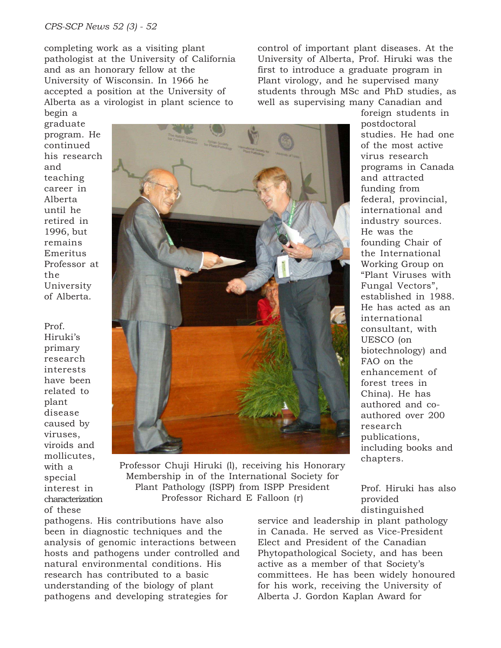#### *CPS-SCP News 52 (3) - 52*

completing work as a visiting plant pathologist at the University of California and as an honorary fellow at the University of Wisconsin. In 1966 he accepted a position at the University of Alberta as a virologist in plant science to

control of important plant diseases. At the University of Alberta, Prof. Hiruki was the first to introduce a graduate program in Plant virology, and he supervised many students through MSc and PhD studies, as well as supervising many Canadian and

begin a graduate program. He continued his research and teaching career in Alberta until he retired in 1996, but remains Emeritus Professor at the University of Alberta.

Prof. Hiruki's primary research interests have been related to plant disease caused by viruses, viroids and mollicutes, with a special interest in characterization of these



Professor Chuji Hiruki (l), receiving his Honorary Membership in of the International Society for Plant Pathology (ISPP) from ISPP President Professor Richard E Falloon (r)

pathogens. His contributions have also been in diagnostic techniques and the analysis of genomic interactions between hosts and pathogens under controlled and natural environmental conditions. His research has contributed to a basic understanding of the biology of plant pathogens and developing strategies for

foreign students in postdoctoral studies. He had one of the most active virus research programs in Canada and attracted funding from federal, provincial, international and industry sources. He was the founding Chair of the International Working Group on "Plant Viruses with Fungal Vectors", established in 1988. He has acted as an international consultant, with UESCO (on biotechnology) and FAO on the enhancement of forest trees in China). He has authored and coauthored over 200 research publications, including books and chapters.

Prof. Hiruki has also provided distinguished

service and leadership in plant pathology in Canada. He served as Vice-President Elect and President of the Canadian Phytopathological Society, and has been active as a member of that Society's committees. He has been widely honoured for his work, receiving the University of Alberta J. Gordon Kaplan Award for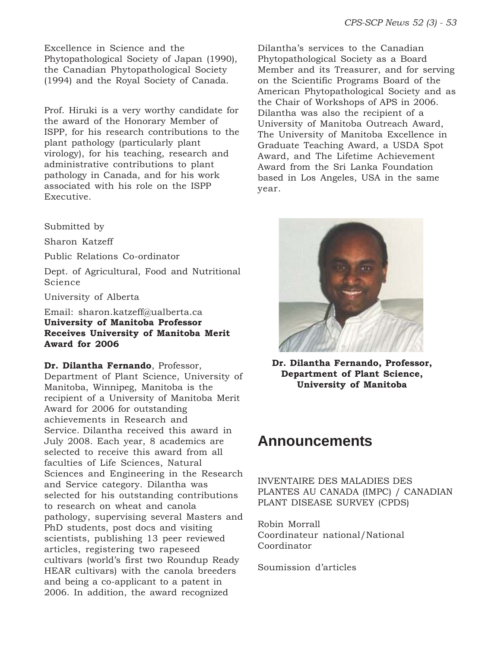Excellence in Science and the Phytopathological Society of Japan (1990), the Canadian Phytopathological Society (1994) and the Royal Society of Canada.

Prof. Hiruki is a very worthy candidate for the award of the Honorary Member of ISPP, for his research contributions to the plant pathology (particularly plant virology), for his teaching, research and administrative contributions to plant pathology in Canada, and for his work associated with his role on the ISPP Executive.

Submitted by

Sharon Katzeff

Public Relations Co-ordinator

Dept. of Agricultural, Food and Nutritional Science

University of Alberta

Email: sharon.katzeff@ualberta.ca **University of Manitoba Professor Receives University of Manitoba Merit Award for 2006**

**Dr. Dilantha Fernando**, Professor,

Department of Plant Science, University of Manitoba, Winnipeg, Manitoba is the recipient of a University of Manitoba Merit Award for 2006 for outstanding achievements in Research and Service. Dilantha received this award in July 2008. Each year, 8 academics are selected to receive this award from all faculties of Life Sciences, Natural Sciences and Engineering in the Research and Service category. Dilantha was selected for his outstanding contributions to research on wheat and canola pathology, supervising several Masters and PhD students, post docs and visiting scientists, publishing 13 peer reviewed articles, registering two rapeseed cultivars (world's first two Roundup Ready HEAR cultivars) with the canola breeders and being a co-applicant to a patent in 2006. In addition, the award recognized

Dilantha's services to the Canadian Phytopathological Society as a Board Member and its Treasurer, and for serving on the Scientific Programs Board of the American Phytopathological Society and as the Chair of Workshops of APS in 2006. Dilantha was also the recipient of a University of Manitoba Outreach Award, The University of Manitoba Excellence in Graduate Teaching Award, a USDA Spot Award, and The Lifetime Achievement Award from the Sri Lanka Foundation based in Los Angeles, USA in the same year.



**Dr. Dilantha Fernando, Professor, Department of Plant Science, University of Manitoba**

# **Announcements**

INVENTAIRE DES MALADIES DES PLANTES AU CANADA (IMPC) / CANADIAN PLANT DISEASE SURVEY (CPDS)

Robin Morrall Coordinateur national/National Coordinator

Soumission d'articles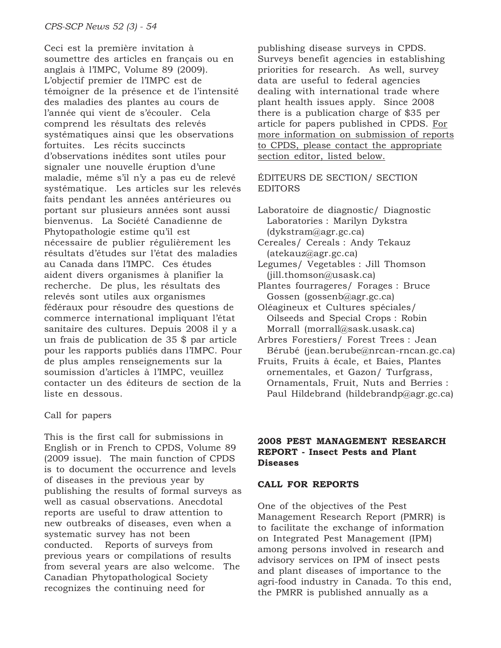Ceci est la première invitation à soumettre des articles en français ou en anglais à l'IMPC, Volume 89 (2009). L'objectif premier de l'IMPC est de témoigner de la présence et de l'intensité des maladies des plantes au cours de l'année qui vient de s'écouler. Cela comprend les résultats des relevés systématiques ainsi que les observations fortuites. Les récits succincts d'observations inédites sont utiles pour signaler une nouvelle éruption d'une maladie, même s'il n'y a pas eu de relevé systématique. Les articles sur les relevés faits pendant les années antérieures ou portant sur plusieurs années sont aussi bienvenus. La Société Canadienne de Phytopathologie estime qu'il est nécessaire de publier régulièrement les résultats d'études sur l'état des maladies au Canada dans l'IMPC. Ces études aident divers organismes à planifier la recherche. De plus, les résultats des relevés sont utiles aux organismes fédéraux pour résoudre des questions de commerce international impliquant l'état sanitaire des cultures. Depuis 2008 il y a un frais de publication de 35 \$ par article pour les rapports publiés dans l'IMPC. Pour de plus amples renseignements sur la soumission d'articles à l'IMPC, veuillez contacter un des éditeurs de section de la liste en dessous.

### Call for papers

This is the first call for submissions in English or in French to CPDS, Volume 89 (2009 issue). The main function of CPDS is to document the occurrence and levels of diseases in the previous year by publishing the results of formal surveys as well as casual observations. Anecdotal reports are useful to draw attention to new outbreaks of diseases, even when a systematic survey has not been conducted. Reports of surveys from previous years or compilations of results from several years are also welcome. The Canadian Phytopathological Society recognizes the continuing need for

publishing disease surveys in CPDS. Surveys benefit agencies in establishing priorities for research. As well, survey data are useful to federal agencies dealing with international trade where plant health issues apply. Since 2008 there is a publication charge of \$35 per article for papers published in CPDS. For more information on submission of reports to CPDS, please contact the appropriate section editor, listed below.

ÉDITEURS DE SECTION/ SECTION EDITORS

Laboratoire de diagnostic/ Diagnostic Laboratories : Marilyn Dykstra (dykstram@agr.gc.ca)

- Cereales/ Cereals : Andy Tekauz (atekauz@agr.gc.ca)
- Legumes/ Vegetables : Jill Thomson (jill.thomson@usask.ca)
- Plantes fourrageres/ Forages : Bruce Gossen (gossenb@agr.gc.ca)
- Oléagineux et Cultures spéciales/ Oilseeds and Special Crops : Robin Morrall (morrall@sask.usask.ca)
- Arbres Forestiers/ Forest Trees : Jean Bérubé (jean.berube@nrcan-rncan.gc.ca)
- Fruits, Fruits à écale, et Baies, Plantes ornementales, et Gazon/ Turfgrass, Ornamentals, Fruit, Nuts and Berries : Paul Hildebrand (hildebrandp@agr.gc.ca)

### **2008 PEST MANAGEMENT RESEARCH REPORT - Insect Pests and Plant Diseases**

### **CALL FOR REPORTS**

One of the objectives of the Pest Management Research Report (PMRR) is to facilitate the exchange of information on Integrated Pest Management (IPM) among persons involved in research and advisory services on IPM of insect pests and plant diseases of importance to the agri-food industry in Canada. To this end, the PMRR is published annually as a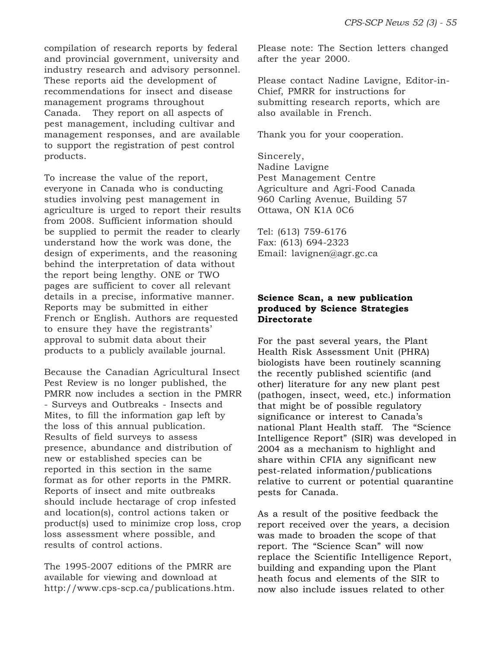compilation of research reports by federal and provincial government, university and industry research and advisory personnel. These reports aid the development of recommendations for insect and disease management programs throughout Canada. They report on all aspects of pest management, including cultivar and management responses, and are available to support the registration of pest control products.

To increase the value of the report, everyone in Canada who is conducting studies involving pest management in agriculture is urged to report their results from 2008. Sufficient information should be supplied to permit the reader to clearly understand how the work was done, the design of experiments, and the reasoning behind the interpretation of data without the report being lengthy. ONE or TWO pages are sufficient to cover all relevant details in a precise, informative manner. Reports may be submitted in either French or English. Authors are requested to ensure they have the registrants' approval to submit data about their products to a publicly available journal.

Because the Canadian Agricultural Insect Pest Review is no longer published, the PMRR now includes a section in the PMRR - Surveys and Outbreaks - Insects and Mites, to fill the information gap left by the loss of this annual publication. Results of field surveys to assess presence, abundance and distribution of new or established species can be reported in this section in the same format as for other reports in the PMRR. Reports of insect and mite outbreaks should include hectarage of crop infested and location(s), control actions taken or product(s) used to minimize crop loss, crop loss assessment where possible, and results of control actions.

The 1995-2007 editions of the PMRR are available for viewing and download at http://www.cps-scp.ca/publications.htm. Please note: The Section letters changed after the year 2000.

Please contact Nadine Lavigne, Editor-in-Chief, PMRR for instructions for submitting research reports, which are also available in French.

Thank you for your cooperation.

Sincerely, Nadine Lavigne Pest Management Centre Agriculture and Agri-Food Canada 960 Carling Avenue, Building 57 Ottawa, ON K1A 0C6

Tel: (613) 759-6176 Fax: (613) 694-2323 Email: lavignen@agr.gc.ca

# **Science Scan, a new publication produced by Science Strategies Directorate**

For the past several years, the Plant Health Risk Assessment Unit (PHRA) biologists have been routinely scanning the recently published scientific (and other) literature for any new plant pest (pathogen, insect, weed, etc.) information that might be of possible regulatory significance or interest to Canada's national Plant Health staff. The "Science Intelligence Report" (SIR) was developed in 2004 as a mechanism to highlight and share within CFIA any significant new pest-related information/publications relative to current or potential quarantine pests for Canada.

As a result of the positive feedback the report received over the years, a decision was made to broaden the scope of that report. The "Science Scan" will now replace the Scientific Intelligence Report, building and expanding upon the Plant heath focus and elements of the SIR to now also include issues related to other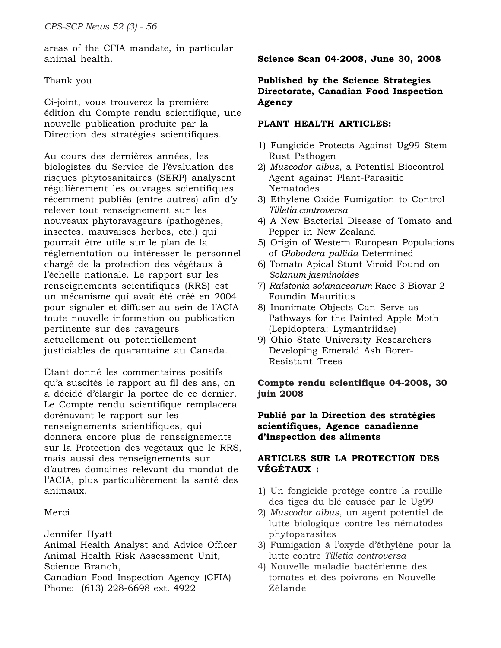areas of the CFIA mandate, in particular animal health.

### Thank you

Ci-joint, vous trouverez la première édition du Compte rendu scientifique, une nouvelle publication produite par la Direction des stratégies scientifiques.

Au cours des dernières années, les biologistes du Service de l'évaluation des risques phytosanitaires (SERP) analysent régulièrement les ouvrages scientifiques récemment publiés (entre autres) afin d'y relever tout renseignement sur les nouveaux phytoravageurs (pathogènes, insectes, mauvaises herbes, etc.) qui pourrait être utile sur le plan de la réglementation ou intéresser le personnel chargé de la protection des végétaux à l'échelle nationale. Le rapport sur les renseignements scientifiques (RRS) est un mécanisme qui avait été créé en 2004 pour signaler et diffuser au sein de l'ACIA toute nouvelle information ou publication pertinente sur des ravageurs actuellement ou potentiellement justiciables de quarantaine au Canada.

Étant donné les commentaires positifs qu'a suscités le rapport au fil des ans, on a décidé d'élargir la portée de ce dernier. Le Compte rendu scientifique remplacera dorénavant le rapport sur les renseignements scientifiques, qui donnera encore plus de renseignements sur la Protection des végétaux que le RRS, mais aussi des renseignements sur d'autres domaines relevant du mandat de l'ACIA, plus particulièrement la santé des animaux.

# Merci

Jennifer Hyatt

Animal Health Analyst and Advice Officer Animal Health Risk Assessment Unit, Science Branch,

Canadian Food Inspection Agency (CFIA) Phone: (613) 228-6698 ext. 4922

# **Science Scan 04-2008, June 30, 2008**

### **Published by the Science Strategies Directorate, Canadian Food Inspection Agency**

### **PLANT HEALTH ARTICLES:**

- 1) Fungicide Protects Against Ug99 Stem Rust Pathogen
- 2) *Muscodor albus*, a Potential Biocontrol Agent against Plant-Parasitic Nematodes
- 3) Ethylene Oxide Fumigation to Control *Tilletia controversa*
- 4) A New Bacterial Disease of Tomato and Pepper in New Zealand
- 5) Origin of Western European Populations of *Globodera pallida* Determined
- 6) Tomato Apical Stunt Viroid Found on *Solanum jasminoides*
- 7) *Ralstonia solanacearum* Race 3 Biovar 2 Foundin Mauritius
- 8) Inanimate Objects Can Serve as Pathways for the Painted Apple Moth (Lepidoptera: Lymantriidae)
- 9) Ohio State University Researchers Developing Emerald Ash Borer-Resistant Trees

**Compte rendu scientifique 04-2008, 30 juin 2008**

### **Publié par la Direction des stratégies scientifiques, Agence canadienne d'inspection des aliments**

### **ARTICLES SUR LA PROTECTION DES VÉGÉTAUX :**

- 1) Un fongicide protège contre la rouille des tiges du blé causée par le Ug99
- 2) *Muscodor albus*, un agent potentiel de lutte biologique contre les nématodes phytoparasites
- 3) Fumigation à l'oxyde d'éthylène pour la lutte contre *Tilletia controversa*
- 4) Nouvelle maladie bactérienne des tomates et des poivrons en Nouvelle-Zélande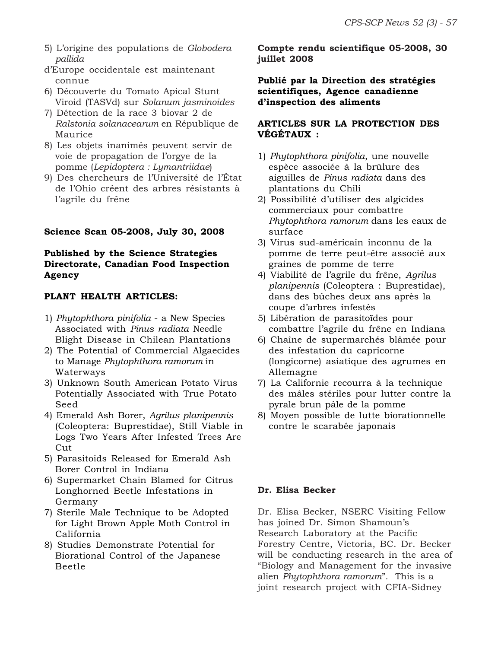- 5) L'origine des populations de *Globodera pallida*
- d'Europe occidentale est maintenant connue
- 6) Découverte du Tomato Apical Stunt Viroid (TASVd) sur *Solanum jasminoides*
- 7) Détection de la race 3 biovar 2 de *Ralstonia solanacearum* en République de Maurice
- 8) Les objets inanimés peuvent servir de voie de propagation de l'orgye de la pomme (*Lepidoptera : Lymantriidae*)
- 9) Des chercheurs de l'Université de l'État de l'Ohio créent des arbres résistants à l'agrile du frêne

# **Science Scan 05-2008, July 30, 2008**

# **Published by the Science Strategies Directorate, Canadian Food Inspection Agency**

### **PLANT HEALTH ARTICLES:**

- 1) *Phytophthora pinifolia*  a New Species Associated with *Pinus radiata* Needle Blight Disease in Chilean Plantations
- 2) The Potential of Commercial Algaecides to Manage *Phytophthora ramorum* in Waterways
- 3) Unknown South American Potato Virus Potentially Associated with True Potato Seed
- 4) Emerald Ash Borer, *Agrilus planipennis* (Coleoptera: Buprestidae), Still Viable in Logs Two Years After Infested Trees Are Cut
- 5) Parasitoids Released for Emerald Ash Borer Control in Indiana
- 6) Supermarket Chain Blamed for Citrus Longhorned Beetle Infestations in Germany
- 7) Sterile Male Technique to be Adopted for Light Brown Apple Moth Control in California
- 8) Studies Demonstrate Potential for Biorational Control of the Japanese Beetle

**Compte rendu scientifique 05-2008, 30 juillet 2008**

**Publié par la Direction des stratégies scientifiques, Agence canadienne d'inspection des aliments**

# **ARTICLES SUR LA PROTECTION DES VÉGÉTAUX :**

- 1) *Phytophthora pinifolia*, une nouvelle espèce associée à la brûlure des aiguilles de *Pinus radiata* dans des plantations du Chili
- 2) Possibilité d'utiliser des algicides commerciaux pour combattre *Phytophthora ramorum* dans les eaux de surface
- 3) Virus sud-américain inconnu de la pomme de terre peut-être associé aux graines de pomme de terre
- 4) Viabilité de l'agrile du frêne, *Agrilus planipennis* (Coleoptera : Buprestidae), dans des bûches deux ans après la coupe d'arbres infestés
- 5) Libération de parasitoïdes pour combattre l'agrile du frêne en Indiana
- 6) Chaîne de supermarchés blâmée pour des infestation du capricorne (longicorne) asiatique des agrumes en Allemagne
- 7) La Californie recourra à la technique des mâles stériles pour lutter contre la pyrale brun pâle de la pomme
- 8) Moyen possible de lutte biorationnelle contre le scarabée japonais

### **Dr. Elisa Becker**

Dr. Elisa Becker, NSERC Visiting Fellow has joined Dr. Simon Shamoun's Research Laboratory at the Pacific Forestry Centre, Victoria, BC. Dr. Becker will be conducting research in the area of "Biology and Management for the invasive alien *Phytophthora ramorum*". This is a joint research project with CFIA-Sidney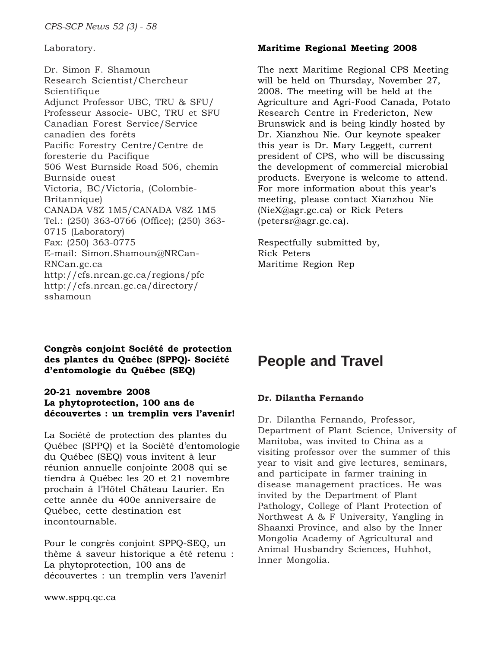Laboratory.

Dr. Simon F. Shamoun Research Scientist/Chercheur Scientifique Adjunct Professor UBC, TRU & SFU/ Professeur Associe- UBC, TRU et SFU Canadian Forest Service/Service canadien des forêts Pacific Forestry Centre/Centre de foresterie du Pacifique 506 West Burnside Road 506, chemin Burnside ouest Victoria, BC/Victoria, (Colombie-Britannique) CANADA V8Z 1M5/CANADA V8Z 1M5 Tel.: (250) 363-0766 (Office); (250) 363- 0715 (Laboratory) Fax: (250) 363-0775 E-mail: Simon.Shamoun@NRCan-RNCan.gc.ca http://cfs.nrcan.gc.ca/regions/pfc http://cfs.nrcan.gc.ca/directory/ sshamoun

### **Maritime Regional Meeting 2008**

The next Maritime Regional CPS Meeting will be held on Thursday, November 27, 2008. The meeting will be held at the Agriculture and Agri-Food Canada, Potato Research Centre in Fredericton, New Brunswick and is being kindly hosted by Dr. Xianzhou Nie. Our keynote speaker this year is Dr. Mary Leggett, current president of CPS, who will be discussing the development of commercial microbial products. Everyone is welcome to attend. For more information about this year's meeting, please contact Xianzhou Nie (NieX@agr.gc.ca) or Rick Peters (petersr@agr.gc.ca).

Respectfully submitted by, Rick Peters Maritime Region Rep

**Congrès conjoint Société de protection des plantes du Québec (SPPQ)- Société d'entomologie du Québec (SEQ)**

### **20-21 novembre 2008 La phytoprotection, 100 ans de découvertes : un tremplin vers l'avenir!**

La Société de protection des plantes du Québec (SPPQ) et la Société d'entomologie du Québec (SEQ) vous invitent à leur réunion annuelle conjointe 2008 qui se tiendra à Québec les 20 et 21 novembre prochain à l'Hôtel Château Laurier. En cette année du 400e anniversaire de Québec, cette destination est incontournable.

Pour le congrès conjoint SPPQ-SEQ, un thème à saveur historique a été retenu : La phytoprotection, 100 ans de découvertes : un tremplin vers l'avenir!

# **People and Travel**

# **Dr. Dilantha Fernando**

Dr. Dilantha Fernando, Professor, Department of Plant Science, University of Manitoba, was invited to China as a visiting professor over the summer of this year to visit and give lectures, seminars, and participate in farmer training in disease management practices. He was invited by the Department of Plant Pathology, College of Plant Protection of Northwest A & F University, Yangling in Shaanxi Province, and also by the Inner Mongolia Academy of Agricultural and Animal Husbandry Sciences, Huhhot, Inner Mongolia.